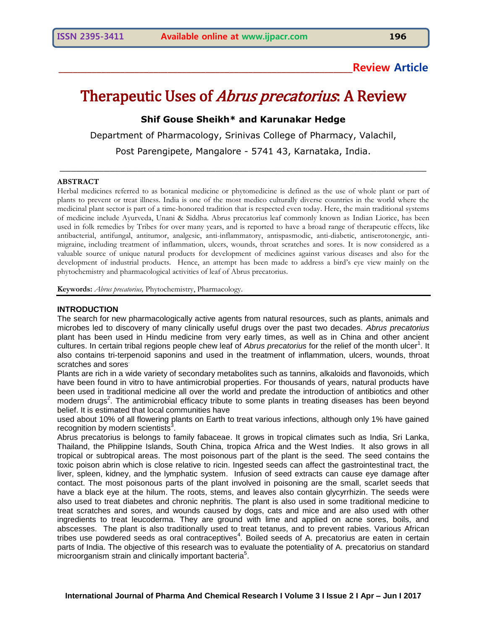# **\_\_\_\_\_\_\_\_\_\_\_\_\_\_\_\_\_\_\_\_\_\_\_\_\_\_\_\_\_\_\_\_\_\_\_\_\_\_\_\_\_\_\_\_\_\_\_\_\_\_\_\_\_\_\_\_\_\_\_\_\_\_Review Article**

# Therapeutic Uses of *Abrus precatorius*. A Review

# **Shif Gouse Sheikh\* and Karunakar Hedge**

Department of Pharmacology, Srinivas College of Pharmacy, Valachil,

Post Parengipete, Mangalore - 5741 43, Karnataka, India.

\_\_\_\_\_\_\_\_\_\_\_\_\_\_\_\_\_\_\_\_\_\_\_\_\_\_\_\_\_\_\_\_\_\_\_\_\_\_\_\_\_\_\_\_\_\_\_\_\_\_\_\_\_\_\_\_\_\_\_\_\_\_\_\_\_\_

#### **ABSTRACT**

Herbal medicines referred to as botanical medicine or phytomedicine is defined as the use of whole plant or part of plants to prevent or treat illness. India is one of the most medico culturally diverse countries in the world where the medicinal plant sector is part of a time-honored tradition that is respected even today. Here, the main traditional systems of medicine include Ayurveda, Unani & Siddha. Abrus precatorius leaf commonly known as Indian Liorice, has been used in folk remedies by Tribes for over many years, and is reported to have a broad range of therapeutic effects, like antibacterial, antifungal, antitumor, analgesic, anti-inflammatory, antispasmodic, anti-diabetic, antiserotonergic, antimigraine, including treatment of inflammation, ulcers, wounds, throat scratches and sores. It is now considered as a valuable source of unique natural products for development of medicines against various diseases and also for the development of industrial products. Hence, an attempt has been made to address a bird's eye view mainly on the phytochemistry and pharmacological activities of leaf of Abrus precatorius.

**Keywords:** *Abrus precatorius,* Phytochemistry, Pharmacology.

#### **INTRODUCTION**

The search for new pharmacologically active agents from natural resources, such as plants, animals and microbes led to discovery of many clinically useful drugs over the past two decades. *Abrus precatorius*  plant has been used in Hindu medicine from very early times, as well as in China and other ancient cultures. In certain tribal regions people chew leaf of *Abrus precatorius* for the relief of the month ulcer<sup>1</sup>. It also contains tri-terpenoid saponins and used in the treatment of inflammation, ulcers, wounds, throat scratches and sores<sup>.</sup>

Plants are rich in a wide variety of secondary metabolites such as tannins, alkaloids and flavonoids, which have been found in vitro to have antimicrobial properties. For thousands of years, natural products have been used in traditional medicine all over the world and predate the introduction of antibiotics and other modern drugs<sup>2</sup>. The antimicrobial efficacy tribute to some plants in treating diseases has been beyond belief. It is estimated that local communities have

used about 10% of all flowering plants on Earth to treat various infections, although only 1% have gained recognition by modern scientists<sup>3</sup>.

Abrus precatorius is belongs to family fabaceae. It grows in tropical climates such as India, Sri Lanka, Thailand, the Philippine Islands, South China, tropica Africa and the West Indies. It also grows in all tropical or subtropical areas. The most poisonous part of the plant is the seed. The seed contains the toxic poison abrin which is close relative to ricin. Ingested seeds can affect the gastrointestinal tract, the liver, spleen, kidney, and the lymphatic system. Infusion of seed extracts can cause eye damage after contact. The most poisonous parts of the plant involved in poisoning are the small, scarlet seeds that have a black eye at the hilum. The roots, stems, and leaves also contain glycyrrhizin. The seeds were also used to treat diabetes and chronic nephritis. The plant is also used in some traditional medicine to treat scratches and sores, and wounds caused by dogs, cats and mice and are also used with other ingredients to treat leucoderma. They are ground with lime and applied on acne sores, boils, and abscesses. The plant is also traditionally used to treat tetanus, and to prevent rabies. Various African tribes use powdered seeds as oral contraceptives<sup>4</sup>. Boiled seeds of A. precatorius are eaten in certain parts of India. The objective of this research was to evaluate the potentiality of A. precatorius on standard .<br>microorganism strain and clinically important bacteria<sup>5</sup>.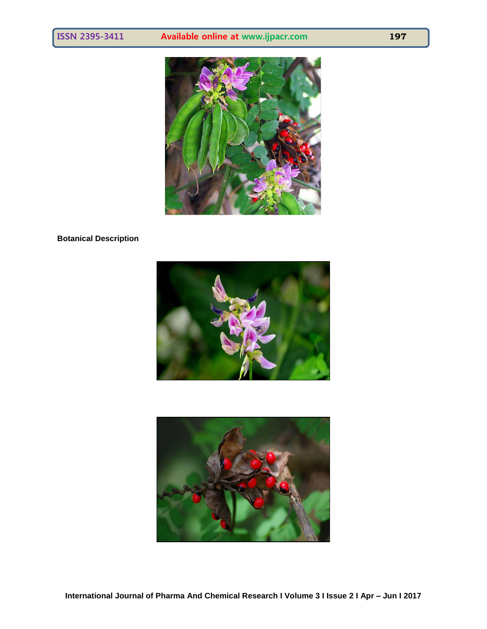

# **Botanical Description**





**International Journal of Pharma And Chemical Research I Volume 3 I Issue 2 I Apr – Jun I 2017**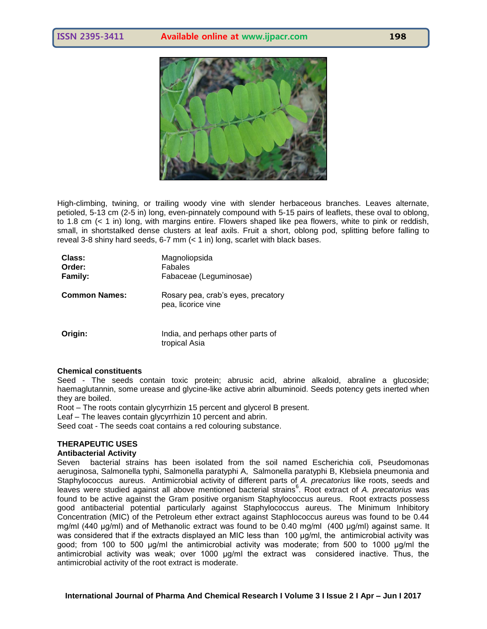



High-climbing, twining, or trailing woody vine with slender herbaceous branches. Leaves alternate, petioled, 5-13 cm (2-5 in) long, even-pinnately compound with 5-15 pairs of leaflets, these oval to oblong, to 1.8 cm (< 1 in) long, with margins entire. Flowers shaped like pea flowers, white to pink or reddish, small, in shortstalked dense clusters at leaf axils. Fruit a short, oblong pod, splitting before falling to reveal 3-8 shiny hard seeds, 6-7 mm (< 1 in) long, scarlet with black bases.

| Class:<br>Order:<br><b>Family:</b> | Magnoliopsida<br>Fabales<br>Fabaceae (Leguminosae)       |
|------------------------------------|----------------------------------------------------------|
| <b>Common Names:</b>               | Rosary pea, crab's eyes, precatory<br>pea, licorice vine |
| Origin:                            | India, and perhaps other parts of<br>tropical Asia       |

#### **Chemical constituents**

Seed - The seeds contain toxic protein; abrusic acid, abrine alkaloid, abraline a glucoside; haemaglutannin, some urease and glycine-like active abrin albuminoid. Seeds potency gets inerted when they are boiled.

Root – The roots contain glycyrrhizin 15 percent and glycerol B present.

Leaf – The leaves contain glycyrrhizin 10 percent and abrin.

Seed coat - The seeds coat contains a red colouring substance.

# **THERAPEUTIC USES**

#### **Antibacterial Activity**

Seven bacterial strains has been isolated from the soil named Escherichia coli, Pseudomonas aeruginosa, Salmonella typhi, Salmonella paratyphi A, Salmonella paratyphi B, Klebsiela pneumonia and Staphylococcus aureus. Antimicrobial activity of different parts of *A. precatorius* like roots, seeds and leaves were studied against all above mentioned bacterial strains<sup>6</sup>. Root extract of A. precatorius was found to be active against the Gram positive organism Staphylococcus aureus. Root extracts possess good antibacterial potential particularly against Staphylococcus aureus. The Minimum Inhibitory Concentration (MIC) of the Petroleum ether extract against Staphlococcus aureus was found to be 0.44 mg/ml (440 μg/ml) and of Methanolic extract was found to be 0.40 mg/ml (400 μg/ml) against same. It was considered that if the extracts displayed an MIC less than 100 μg/ml, the antimicrobial activity was good; from 100 to 500 μg/ml the antimicrobial activity was moderate; from 500 to 1000 μg/ml the antimicrobial activity was weak; over 1000 μg/ml the extract was considered inactive. Thus, the antimicrobial activity of the root extract is moderate.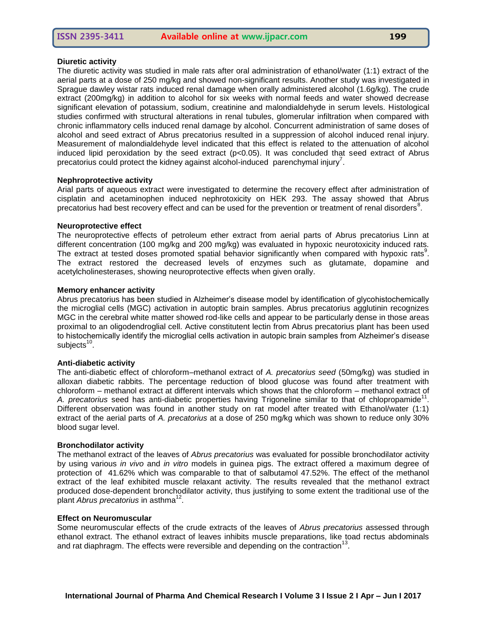# **Diuretic activity**

The diuretic activity was studied in male rats after oral administration of ethanol/water (1:1) extract of the aerial parts at a dose of 250 mg/kg and showed non-significant results. Another study was investigated in Sprague dawley wistar rats induced renal damage when orally administered alcohol (1.6g/kg). The crude extract (200mg/kg) in addition to alcohol for six weeks with normal feeds and water showed decrease significant elevation of potassium, sodium, creatinine and malondialdehyde in serum levels. Histological studies confirmed with structural alterations in renal tubules, glomerular infiltration when compared with chronic inflammatory cells induced renal damage by alcohol. Concurrent administration of same doses of alcohol and seed extract of Abrus precatorius resulted in a suppression of alcohol induced renal injury. Measurement of malondialdehyde level indicated that this effect is related to the attenuation of alcohol induced lipid peroxidation by the seed extract  $(p<0.05)$ . It was concluded that seed extract of Abrus precatorius could protect the kidney against alcohol-induced parenchymal injury<sup>7</sup>.

# **Nephroprotective activity**

Arial parts of aqueous extract were investigated to determine the recovery effect after administration of cisplatin and acetaminophen induced nephrotoxicity on HEK 293. The assay showed that Abrus precatorius had best recovery effect and can be used for the prevention or treatment of renal disorders<sup>8</sup>.

# **Neuroprotective effect**

The neuroprotective effects of petroleum ether extract from aerial parts of Abrus precatorius Linn at different concentration (100 mg/kg and 200 mg/kg) was evaluated in hypoxic neurotoxicity induced rats. The extract at tested doses promoted spatial behavior significantly when compared with hypoxic rats<sup>9</sup>. The extract restored the decreased levels of enzymes such as glutamate, dopamine and acetylcholinesterases, showing neuroprotective effects when given orally.

# **Memory enhancer activity**

Abrus precatorius has been studied in Alzheimer's disease model by identification of glycohistochemically the microglial cells (MGC) activation in autoptic brain samples. Abrus precatorius agglutinin recognizes MGC in the cerebral white matter showed rod-like cells and appear to be particularly dense in those areas proximal to an oligodendroglial cell. Active constitutent lectin from Abrus precatorius plant has been used to histochemically identify the microglial cells activation in autopic brain samples from Alzheimer's disease subjects $^{10}$ .

#### **Anti-diabetic activity**

The anti-diabetic effect of chloroform–methanol extract of *A. precatorius seed* (50mg/kg) was studied in alloxan diabetic rabbits. The percentage reduction of blood glucose was found after treatment with chloroform – methanol extract at different intervals which shows that the chloroform – methanol extract of A. precatorius seed has anti-diabetic properties having Trigoneline similar to that of chlopropamide<sup>11</sup>. Different observation was found in another study on rat model after treated with Ethanol/water (1:1) extract of the aerial parts of *A. precatorius* at a dose of 250 mg/kg which was shown to reduce only 30% blood sugar level.

#### **Bronchodilator activity**

The methanol extract of the leaves of *Abrus precatorius* was evaluated for possible bronchodilator activity by using various *in vivo* and *in vitro* models in guinea pigs. The extract offered a maximum degree of protection of 41.62% which was comparable to that of salbutamol 47.52%. The effect of the methanol extract of the leaf exhibited muscle relaxant activity. The results revealed that the methanol extract produced dose-dependent bronchodilator activity, thus justifying to some extent the traditional use of the .<br>plant *Abrus precatorius* in asthma<sup>12</sup>.

#### **Effect on Neuromuscular**

Some neuromuscular effects of the crude extracts of the leaves of *Abrus precatorius* assessed through ethanol extract. The ethanol extract of leaves inhibits muscle preparations, like toad rectus abdominals and rat diaphragm. The effects were reversible and depending on the contraction<sup>13</sup>.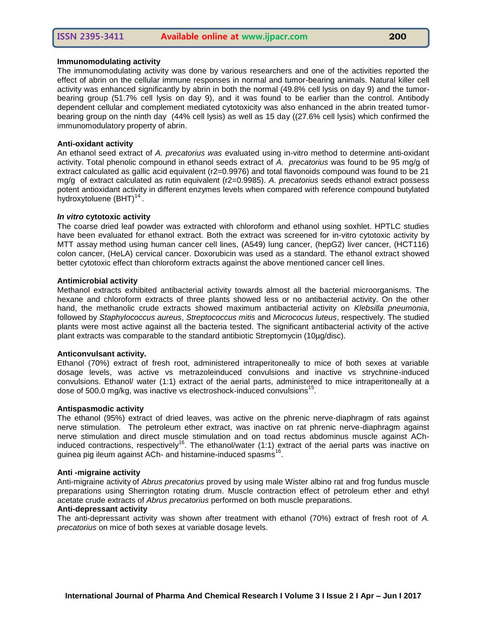#### **Immunomodulating activity**

The immunomodulating activity was done by various researchers and one of the activities reported the effect of abrin on the cellular immune responses in normal and tumor-bearing animals. Natural killer cell activity was enhanced significantly by abrin in both the normal (49.8% cell lysis on day 9) and the tumorbearing group (51.7% cell lysis on day 9), and it was found to be earlier than the control. Antibody dependent cellular and complement mediated cytotoxicity was also enhanced in the abrin treated tumorbearing group on the ninth day (44% cell lysis) as well as 15 day ((27.6% cell lysis) which confirmed the immunomodulatory property of abrin.

# **Anti-oxidant activity**

An ethanol seed extract of *A. precatorius was* evaluated using in-vitro method to determine anti-oxidant activity. Total phenolic compound in ethanol seeds extract of *A. precatorius* was found to be 95 mg/g of extract calculated as gallic acid equivalent (r2=0.9976) and total flavonoids compound was found to be 21 mg/g of extract calculated as rutin equivalent (r2=0.9985). *A. precatorius* seeds ethanol extract possess potent antioxidant activity in different enzymes levels when compared with reference compound butylated .<br>hydroxytoluene (BHT)<sup>14</sup> .

# *In vitro* **cytotoxic activity**

The coarse dried leaf powder was extracted with chloroform and ethanol using soxhlet. HPTLC studies have been evaluated for ethanol extract. Both the extract was screened for in-vitro cytotoxic activity by MTT assay method using human cancer cell lines, (A549) lung cancer, (hepG2) liver cancer, (HCT116) colon cancer, (HeLA) cervical cancer. Doxorubicin was used as a standard. The ethanol extract showed better cytotoxic effect than chloroform extracts against the above mentioned cancer cell lines.

# **Antimicrobial activity**

Methanol extracts exhibited antibacterial activity towards almost all the bacterial microorganisms. The hexane and chloroform extracts of three plants showed less or no antibacterial activity. On the other hand, the methanolic crude extracts showed maximum antibacterial activity on *Klebsilla pneumonia*, followed by *Staphylococcus aureus*, *Streptococcus mitis* and *Micrococus luteus*, respectively. The studied plants were most active against all the bacteria tested. The significant antibacterial activity of the active plant extracts was comparable to the standard antibiotic Streptomycin (10µg/disc).

# **Anticonvulsant activity.**

Ethanol (70%) extract of fresh root, administered intraperitoneally to mice of both sexes at variable dosage levels, was active vs metrazoleinduced convulsions and inactive vs strychnine-induced convulsions. Ethanol/ water (1:1) extract of the aerial parts, administered to mice intraperitoneally at a dose of 500.0 mg/kg, was inactive vs electroshock-induced convulsions<sup>15</sup>.

#### **Antispasmodic activity**

The ethanol (95%) extract of dried leaves, was active on the phrenic nerve-diaphragm of rats against nerve stimulation. The petroleum ether extract, was inactive on rat phrenic nerve-diaphragm against nerve stimulation and direct muscle stimulation and on toad rectus abdominus muscle against AChinduced contractions, respectively<sup>16</sup>. The ethanol/water (1:1) extract of the aerial parts was inactive on guinea pig ileum against ACh- and histamine-induced spasms<sup>16</sup>.

#### **Anti -migraine activity**

Anti-migraine activity of *Abrus precatorius* proved by using male Wister albino rat and frog fundus muscle preparations using Sherrington rotating drum. Muscle contraction effect of petroleum ether and ethyl acetate crude extracts of *Abrus precatorius* performed on both muscle preparations.

# **Anti-depressant activity**

The anti-depressant activity was shown after treatment with ethanol (70%) extract of fresh root of *A. precatorius* on mice of both sexes at variable dosage levels.